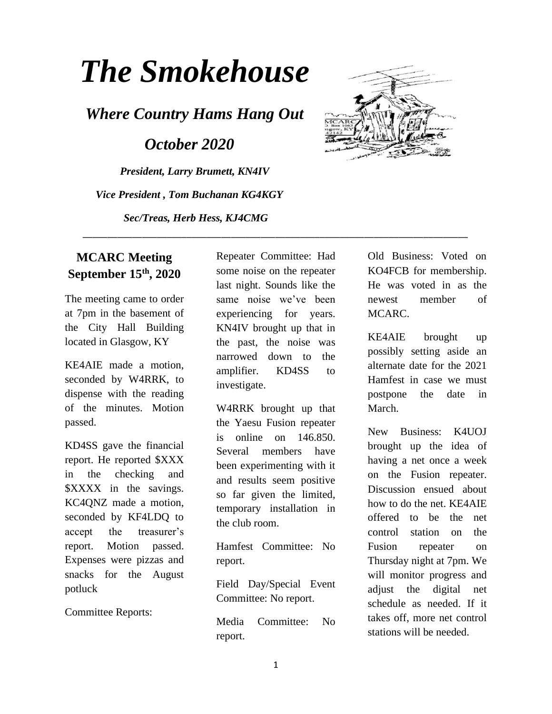## *The Smokehouse*

*Where Country Hams Hang Out*

 *October 2020*

*President, Larry Brumett, KN4IV Vice President , Tom Buchanan KG4KGY Sec/Treas, Herb Hess, KJ4CMG*



## **MCARC Meeting September 15th, 2020**

The meeting came to order at 7pm in the basement of the City Hall Building located in Glasgow, KY

KE4AIE made a motion, seconded by W4RRK, to dispense with the reading of the minutes. Motion passed.

KD4SS gave the financial report. He reported \$XXX in the checking and \$XXXX in the savings. KC4QNZ made a motion, seconded by KF4LDQ to accept the treasurer's report. Motion passed. Expenses were pizzas and snacks for the August potluck

Committee Reports:

Repeater Committee: Had some noise on the repeater last night. Sounds like the same noise we've been experiencing for years. KN4IV brought up that in the past, the noise was narrowed down to the amplifier. KD4SS to investigate.

\_\_\_\_\_\_\_\_\_\_\_\_\_\_\_\_\_\_\_\_\_\_\_\_\_\_\_\_\_\_\_\_\_\_\_\_\_\_\_\_\_\_\_\_\_\_\_\_\_\_\_\_\_\_\_\_\_\_\_\_\_\_\_\_\_\_\_\_\_\_\_\_\_\_\_\_\_\_

W4RRK brought up that the Yaesu Fusion repeater is online on 146.850. Several members have been experimenting with it and results seem positive so far given the limited, temporary installation in the club room.

Hamfest Committee: No report.

Field Day/Special Event Committee: No report.

Media Committee: No report.

Old Business: Voted on KO4FCB for membership. He was voted in as the newest member of MCARC.

KE4AIE brought up possibly setting aside an alternate date for the 2021 Hamfest in case we must postpone the date in March.

New Business: K4UOJ brought up the idea of having a net once a week on the Fusion repeater. Discussion ensued about how to do the net. KE4AIE offered to be the net control station on the Fusion repeater on Thursday night at 7pm. We will monitor progress and adjust the digital net schedule as needed. If it takes off, more net control stations will be needed.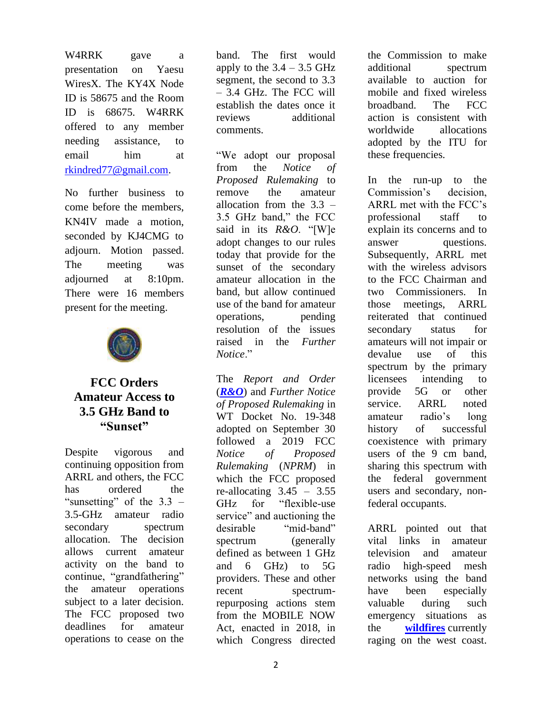W4RRK gave a presentation on Yaesu WiresX. The KY4X Node ID is 58675 and the Room ID is 68675. W4RRK offered to any member needing assistance, to email him at [rkindred77@gmail.com.](mailto:rkindred77@gmail.com)

No further business to come before the members, KN4IV made a motion, seconded by KJ4CMG to adjourn. Motion passed. The meeting was adjourned at 8:10pm. There were 16 members present for the meeting.



## **FCC Orders Amateur Access to 3.5 GHz Band to "Sunset"**

Despite vigorous and continuing opposition from ARRL and others, the FCC has ordered the "sunsetting" of the  $3.3$  – 3.5-GHz amateur radio secondary spectrum allocation. The decision allows current amateur activity on the band to continue, "grandfathering" the amateur operations subject to a later decision. The FCC proposed two deadlines for amateur operations to cease on the

band. The first would apply to the  $3.4 - 3.5$  GHz segment, the second to 3.3 – 3.4 GHz. The FCC will establish the dates once it reviews additional comments.

"We adopt our proposal from the *Notice of Proposed Rulemaking* to remove the amateur allocation from the  $3.3 -$ 3.5 GHz band," the FCC said in its *R&O*. "[W]e adopt changes to our rules today that provide for the sunset of the secondary amateur allocation in the band, but allow continued use of the band for amateur operations, pending resolution of the issues raised in the *Further Notice*."

The *Report and Order* (*[R&O](https://ecfsapi.fcc.gov/file/1002214202488/FCC-20-138A1.pdf)*) and *Further Notice of Proposed Rulemaking* in WT Docket No. 19-348 adopted on September 30 followed a 2019 FCC *Notice of Proposed Rulemaking* (*NPRM*) in which the FCC proposed re-allocating  $3.45 - 3.55$ GHz for "flexible-use service" and auctioning the desirable "mid-band" spectrum (generally defined as between 1 GHz and 6 GHz) to 5G providers. These and other recent spectrumrepurposing actions stem from the MOBILE NOW Act, enacted in 2018, in which Congress directed the Commission to make additional spectrum available to auction for mobile and fixed wireless broadband. The FCC action is consistent with worldwide allocations adopted by the ITU for these frequencies.

In the run-up to the Commission's decision, ARRL met with the FCC's professional staff to explain its concerns and to answer questions. Subsequently, ARRL met with the wireless advisors to the FCC Chairman and two Commissioners. In those meetings, ARRL reiterated that continued secondary status for amateurs will not impair or devalue use of this spectrum by the primary licensees intending to provide 5G or other service. ARRL noted amateur radio's long history of successful coexistence with primary users of the 9 cm band, sharing this spectrum with the federal government users and secondary, nonfederal occupants.

ARRL pointed out that vital links in amateur television and amateur radio high-speed mesh networks using the band have been especially valuable during such emergency situations as the **[wildfires](https://ecfsapi.fcc.gov/file/10924040735543/ATN20FCC20Parte20Sept.2C%202020.pdf)** currently raging on the west coast.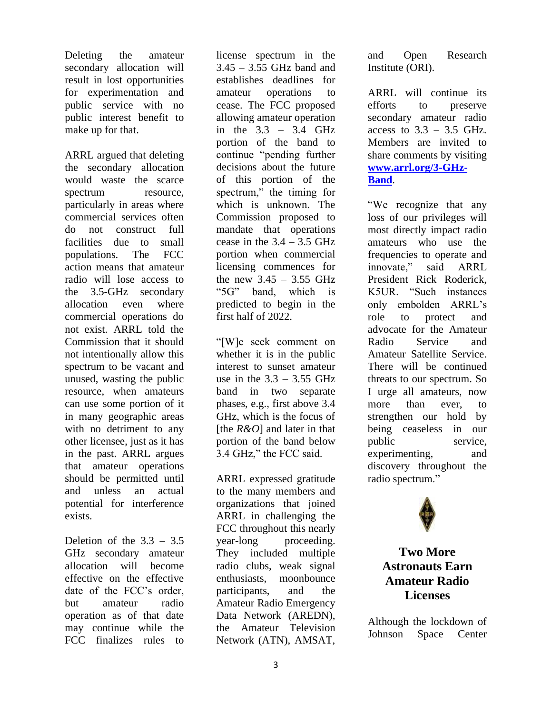Deleting the amateur secondary allocation will result in lost opportunities for experimentation and public service with no public interest benefit to make up for that.

ARRL argued that deleting the secondary allocation would waste the scarce spectrum resource, particularly in areas where commercial services often do not construct full facilities due to small populations. The FCC action means that amateur radio will lose access to the 3.5-GHz secondary allocation even where commercial operations do not exist. ARRL told the Commission that it should not intentionally allow this spectrum to be vacant and unused, wasting the public resource, when amateurs can use some portion of it in many geographic areas with no detriment to any other licensee, just as it has in the past. ARRL argues that amateur operations should be permitted until and unless an actual potential for interference exists.

Deletion of the  $3.3 - 3.5$ GHz secondary amateur allocation will become effective on the effective date of the FCC's order, but amateur radio operation as of that date may continue while the FCC finalizes rules to

license spectrum in the  $3.45 - 3.55$  GHz band and establishes deadlines for amateur operations to cease. The FCC proposed allowing amateur operation in the 3.3 – 3.4 GHz portion of the band to continue "pending further decisions about the future of this portion of the spectrum," the timing for which is unknown. The Commission proposed to mandate that operations cease in the  $3.4 - 3.5$  GHz portion when commercial licensing commences for the new  $3.45 - 3.55$  GHz "5G" band, which is predicted to begin in the first half of 2022.

"[W]e seek comment on whether it is in the public interest to sunset amateur use in the  $3.3 - 3.55$  GHz band in two separate phases, e.g., first above 3.4 GHz, which is the focus of [the *R&O*] and later in that portion of the band below 3.4 GHz," the FCC said.

ARRL expressed gratitude to the many members and organizations that joined ARRL in challenging the FCC throughout this nearly year-long proceeding. They included multiple radio clubs, weak signal enthusiasts, moonbounce participants, and the Amateur Radio Emergency Data Network (AREDN), the Amateur Television Network (ATN), AMSAT,

and Open Research Institute (ORI).

ARRL will continue its efforts to preserve secondary amateur radio access to  $3.3 - 3.5$  GHz. Members are invited to share comments by visiting **[www.arrl.org/3-GHz-](http://www.arrl.org/3-GHz-Band)[Band](http://www.arrl.org/3-GHz-Band)**.

"We recognize that any loss of our privileges will most directly impact radio amateurs who use the frequencies to operate and innovate," said ARRL President Rick Roderick, K5UR. "Such instances only embolden ARRL's role to protect and advocate for the Amateur Radio Service and Amateur Satellite Service. There will be continued threats to our spectrum. So I urge all amateurs, now more than ever, to strengthen our hold by being ceaseless in our public service, experimenting, and discovery throughout the radio spectrum."



**Two More Astronauts Earn Amateur Radio Licenses**

Although the lockdown of Johnson Space Center